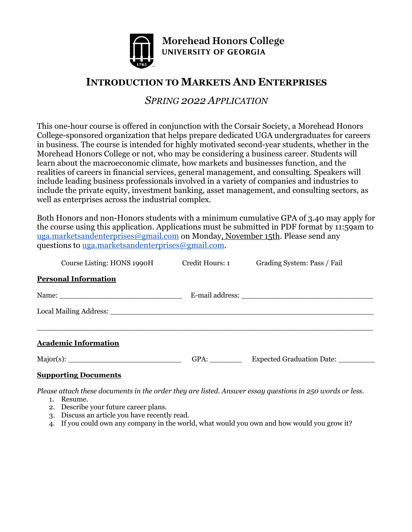

# **INTRODUCTION TO MARKETS AND ENTERPRISES**

## *SPRING 2022 APPLICATION*

This one-hour course is offered in conjunction with the Corsair Society, a Morehead Honors College-sponsored organization that helps prepare dedicated UGA undergraduates for careers in business. The course is intended for highly motivated second-year students, whether in the Morehead Honors College or not, who may be considering a business career. Students will learn about the macroeconomic climate, how markets and businesses function, and the realities of careers in financial services, general management, and consulting. Speakers will include leading business professionals involved in a variety of companies and industries to include the private equity, investment banking, asset management, and consulting sectors, as well as enterprises across the industrial complex.

Both Honors and non-Honors students with a minimum cumulative GPA of 3.40 may apply for the course using this application. Applications must be submitted in PDF format by 11:59am to uga.marketsandenterprises@gmail.com on Monday, November 15th. Please send any questions to uga.marketsandenterprises@gmail.com.

| Course Listing: HONS 1990H Credit Hours: 1 Grading System: Pass / Fail                                                                                                                                                         |                                |
|--------------------------------------------------------------------------------------------------------------------------------------------------------------------------------------------------------------------------------|--------------------------------|
| <b>Personal Information</b>                                                                                                                                                                                                    |                                |
|                                                                                                                                                                                                                                | E-mail address:                |
| Local Mailing Address: Local Mailing Address: Local Mailing Address: Local Mailing Address: Local Mailing Address: Local Mailing Address: Local Mailing Address: Local Mailing Address: Local Mailing Address: Local Mailing A |                                |
| <b>Academic Information</b>                                                                                                                                                                                                    |                                |
|                                                                                                                                                                                                                                | GPA: Expected Graduation Date: |
| <b>Supporting Documents</b>                                                                                                                                                                                                    |                                |
| Please attach these documents in the order they are listed. Answer essay questions in 250 words or less.                                                                                                                       |                                |

- 1. Resume.
- 2. Describe your future career plans.
- 3. Discuss an article you have recently read.
- 4. If you could own any company in the world, what would you own and how would you grow it?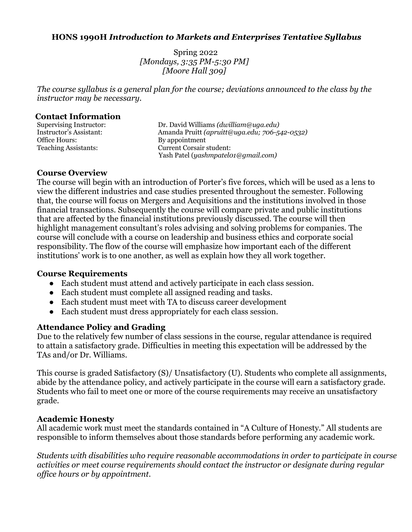### **HONS 1990H** *Introduction to Markets and Enterprises Tentative Syllabus*

 Spring 2022 *[Mondays, 3:35 PM-5:30 PM] [Moore Hall 309]*

*The course syllabus is a general plan for the course; deviations announced to the class by the instructor may be necessary.*

#### **Contact Information**

Office Hours: By appointment

Supervising Instructor: Dr. David Williams *(dwilliam@uga.edu)*<br>Instructor's Assistant: Amanda Pruitt *(apruitt@uga.edu; 706-5* Amanda Pruitt *(apruitt@uga.edu; 706-542-0532)* Teaching Assistants: Current Corsair student: Yash Patel (*yashmpatel01@gmail.com)*

#### **Course Overview**

The course will begin with an introduction of Porter's five forces, which will be used as a lens to view the different industries and case studies presented throughout the semester. Following that, the course will focus on Mergers and Acquisitions and the institutions involved in those financial transactions. Subsequently the course will compare private and public institutions that are affected by the financial institutions previously discussed. The course will then highlight management consultant's roles advising and solving problems for companies. The course will conclude with a course on leadership and business ethics and corporate social responsibility. The flow of the course will emphasize how important each of the different institutions' work is to one another, as well as explain how they all work together.

#### **Course Requirements**

- Each student must attend and actively participate in each class session.
- Each student must complete all assigned reading and tasks.
- Each student must meet with TA to discuss career development
- Each student must dress appropriately for each class session.

#### **Attendance Policy and Grading**

Due to the relatively few number of class sessions in the course, regular attendance is required to attain a satisfactory grade. Difficulties in meeting this expectation will be addressed by the TAs and/or Dr. Williams.

This course is graded Satisfactory (S)/ Unsatisfactory (U). Students who complete all assignments, abide by the attendance policy, and actively participate in the course will earn a satisfactory grade. Students who fail to meet one or more of the course requirements may receive an unsatisfactory grade.

#### **Academic Honesty**

All academic work must meet the standards contained in "A Culture of Honesty." All students are responsible to inform themselves about those standards before performing any academic work.

*Students with disabilities who require reasonable accommodations in order to participate in course activities or meet course requirements should contact the instructor or designate during regular office hours or by appointment.*